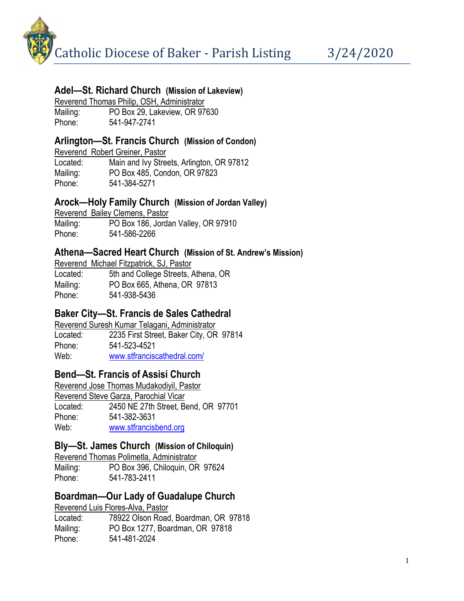### **Adel—St. Richard Church (Mission of Lakeview)**

Reverend Thomas Philip, OSH, Administrator Mailing: PO Box 29, Lakeview, OR 97630 Phone: 541-947-2741

## **Arlington—St. Francis Church (Mission of Condon)**

Reverend Robert Greiner, Pastor Located: Main and Ivy Streets, Arlington, OR 97812 Mailing: PO Box 485, Condon, OR 97823 Phone: 541-384-5271

### **Arock—Holy Family Church (Mission of Jordan Valley)**

Reverend Bailey Clemens, Pastor Mailing: PO Box 186, Jordan Valley, OR 97910 Phone: 541-586-2266

### **Athena—Sacred Heart Church (Mission of St. Andrew's Mission)**

Reverend Michael Fitzpatrick, SJ, Pastor Located: 5th and College Streets, Athena, OR Mailing: PO Box 665, Athena, OR 97813

Phone: 541-938-5436

### **Baker City—St. Francis de Sales Cathedral**

Reverend Suresh Kumar Telagani, Administrator Located: 2235 First Street, Baker City, OR 97814 Phone: 541-523-4521 Web: [www.stfranciscathedral.com/](http://www.stfranciscathedral.com/)

# **Bend—St. Francis of Assisi Church**

Reverend Jose Thomas Mudakodiyil, Pastor Reverend Steve Garza, Parochial Vicar Located: 2450 NE 27th Street, Bend, OR 97701 Phone: 541-382-3631 Web: [www.stfrancisbend.org](http://www.stfrancisbend.org/)

### **Bly—St. James Church (Mission of Chiloquin)**

Reverend Thomas Polimetla, Administrator Mailing: PO Box 396, Chiloquin, OR 97624 Phone: 541-783-2411

### **Boardman—Our Lady of Guadalupe Church**

Reverend Luis Flores-Alva, Pastor Located: 78922 Olson Road, Boardman, OR 97818 Mailing: PO Box 1277, Boardman, OR 97818 Phone: 541-481-2024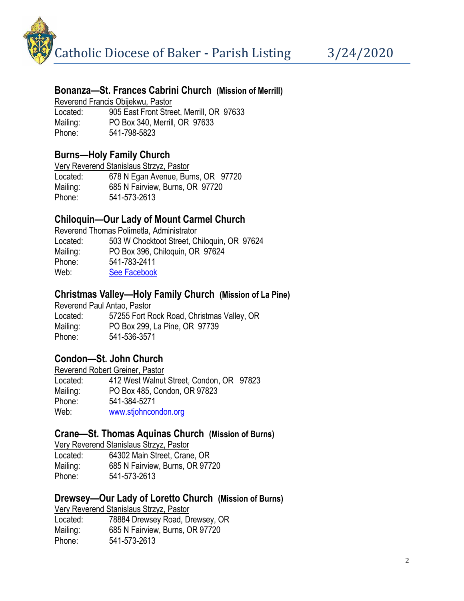

### **Bonanza—St. Frances Cabrini Church (Mission of Merrill)**

Reverend Francis Obijekwu, Pastor

Located: 905 East Front Street, Merrill, OR 97633 Mailing: PO Box 340, Merrill, OR 97633 Phone: 541-798-5823

### **Burns—Holy Family Church**

Very Reverend Stanislaus Strzyz, Pastor Located: 678 N Egan Avenue, Burns, OR 97720 Mailing: 685 N Fairview, Burns, OR 97720 Phone: 541-573-2613

### **Chiloquin—Our Lady of Mount Carmel Church**

Reverend Thomas Polimetla, Administrator Located: 503 W Chocktoot Street, Chiloquin, OR 97624 Mailing: PO Box 396, Chiloquin, OR 97624 Phone: 541-783-2411

Web: [See Facebook](https://www.facebook.com/pages/Our-Lady-of-Mt-Carmel/119944101356291)

#### **Christmas Valley—Holy Family Church (Mission of La Pine)**

Reverend Paul Antao, Pastor

Located: 57255 Fort Rock Road, Christmas Valley, OR Mailing: PO Box 299, La Pine, OR 97739 Phone: 541-536-3571

### **Condon—St. John Church**

Reverend Robert Greiner, Pastor Located: 412 West Walnut Street, Condon, OR 97823 Mailing: PO Box 485, Condon, OR 97823 Phone: 541-384-5271 Web: [www.stjohncondon.org](http://www.stjohncondon.org/)

#### **Crane—St. Thomas Aquinas Church (Mission of Burns)**

Very Reverend Stanislaus Strzyz, Pastor Located: 64302 Main Street, Crane, OR Mailing: 685 N Fairview, Burns, OR 97720 Phone: 541-573-2613

#### **Drewsey—Our Lady of Loretto Church (Mission of Burns)**

Very Reverend Stanislaus Strzyz, Pastor

| Located: | 78884 Drewsey Road, Drewsey, OR |
|----------|---------------------------------|
| Mailing: | 685 N Fairview, Burns, OR 97720 |
| Phone:   | 541-573-2613                    |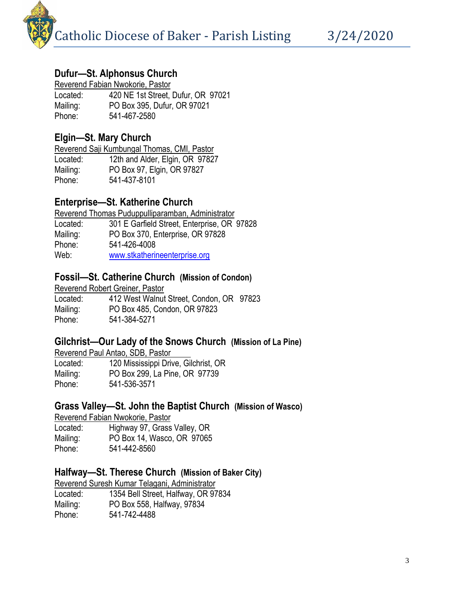Catholic Diocese of Baker - Parish Listing 3/24/2020

# **Dufur—St. Alphonsus Church**

Reverend Fabian Nwokorie, Pastor Located: 420 NE 1st Street, Dufur, OR 97021 Mailing: PO Box 395, Dufur, OR 97021 Phone: 541-467-2580

### **Elgin—St. Mary Church**

Reverend Saji Kumbungal Thomas, CMI, Pastor Located: 12th and Alder, Elgin, OR 97827 Mailing: PO Box 97, Elgin, OR 97827 Phone: 541-437-8101

## **Enterprise—St. Katherine Church**

Reverend Thomas Puduppulliparamban, Administrator Located: 301 E Garfield Street, Enterprise, OR 97828 Mailing: PO Box 370, Enterprise, OR 97828 Phone: 541-426-4008 Web: [www.stkatherineenterprise.org](http://www.stkatherineenterprise.org/)

### **Fossil—St. Catherine Church (Mission of Condon)**

Reverend Robert Greiner, Pastor

Located: 412 West Walnut Street, Condon, OR 97823 Mailing: PO Box 485, Condon, OR 97823 Phone: 541-384-5271

### **Gilchrist—Our Lady of the Snows Church (Mission of La Pine)**

Reverend Paul Antao, SDB, Pastor

Located: 120 Mississippi Drive, Gilchrist, OR Mailing: PO Box 299, La Pine, OR 97739 Phone: 541-536-3571

### **Grass Valley—St. John the Baptist Church (Mission of Wasco)**

Reverend Fabian Nwokorie, Pastor

Located: Highway 97, Grass Valley, OR Mailing: PO Box 14, Wasco, OR 97065 Phone: 541-442-8560

### **Halfway—St. Therese Church (Mission of Baker City)**

Reverend Suresh Kumar Telagani, Administrator

Located: 1354 Bell Street, Halfway, OR 97834 Mailing: PO Box 558, Halfway, 97834 Phone: 541-742-4488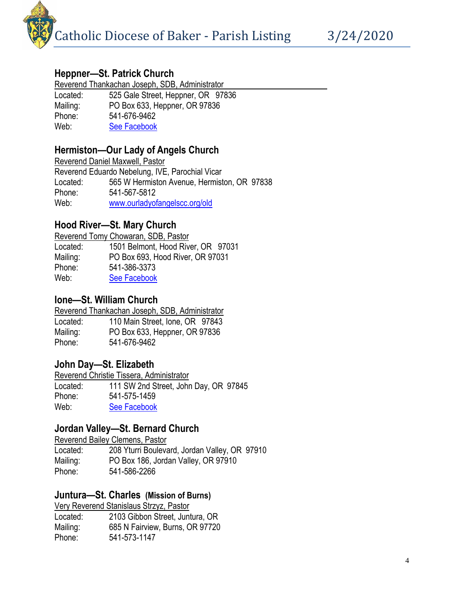## **Heppner—St. Patrick Church**

| Reverend Thankachan Joseph, SDB, Administrator |                                    |  |
|------------------------------------------------|------------------------------------|--|
| Located:                                       | 525 Gale Street, Heppner, OR 97836 |  |
| Mailing:                                       | PO Box 633, Heppner, OR 97836      |  |
| Phone:                                         | 541-676-9462                       |  |
| Web:                                           | See Facebook                       |  |

## **Hermiston—Our Lady of Angels Church**

Reverend Daniel Maxwell, Pastor Reverend Eduardo Nebelung, IVE, Parochial Vicar Located: 565 W Hermiston Avenue, Hermiston, OR 97838 Phone: 541-567-5812 Web: [www.ourladyofangelscc.org/old](http://www.ourladyofangelscc.org/old)

## **Hood River—St. Mary Church**

Reverend Tomy Chowaran, SDB, Pastor Located: 1501 Belmont, Hood River, OR 97031 Mailing: PO Box 693, Hood River, OR 97031 Phone: 541-386-3373 Web: [See Facebook](https://www.facebook.com/pages/St-Marys-Catholic-Church/111448475562492)

## **Ione—St. William Church**

Reverend Thankachan Joseph, SDB, Administrator Located: 110 Main Street, Ione, OR 97843 Mailing: PO Box 633, Heppner, OR 97836 Phone: 541-676-9462

# **John Day—St. Elizabeth**

Reverend Christie Tissera, Administrator Located: 111 SW 2nd Street, John Day, OR 97845 Phone: 541-575-1459 Web: [See Facebook](https://www.facebook.com/pages/Catholic-Church-St-Elizabeth-of-John-Day/111568668878480)

# **Jordan Valley—St. Bernard Church**

Reverend Bailey Clemens, Pastor Located: 208 Yturri Boulevard, Jordan Valley, OR 97910 Mailing: PO Box 186, Jordan Valley, OR 97910 Phone: 541-586-2266

#### **Juntura—St. Charles (Mission of Burns)**

Very Reverend Stanislaus Strzyz, Pastor Located: 2103 Gibbon Street, Juntura, OR Mailing: 685 N Fairview, Burns, OR 97720 Phone: 541-573-1147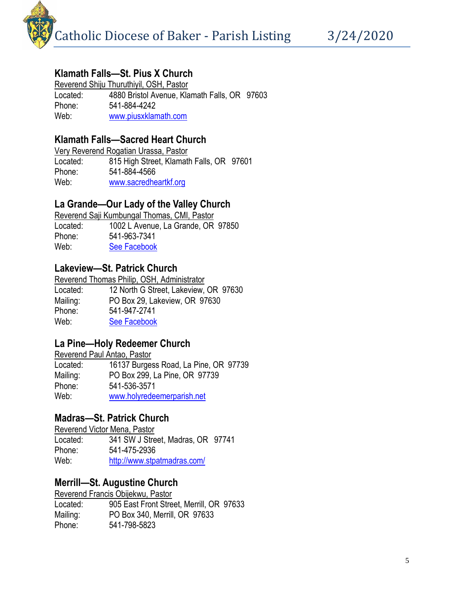

## **Klamath Falls—St. Pius X Church**

Reverend Shiju Thuruthiyil, OSH, Pastor Located: 4880 Bristol Avenue, Klamath Falls, OR 97603 Phone: 541-884-4242 Web: [www.piusxklamath.com](http://www.piusxklamath.com/)

## **Klamath Falls—Sacred Heart Church**

Very Reverend Rogatian Urassa, Pastor Located: 815 High Street, Klamath Falls, OR 97601 Phone: 541-884-4566 Web: [www.sacredheartkf.org](http://www.sacredheartkf.org/)

# **La Grande—Our Lady of the Valley Church**

Reverend Saji Kumbungal Thomas, CMI, Pastor Located: 1002 L Avenue, La Grande, OR 97850 Phone: 541-963-7341 Web: [See Facebook](https://www.facebook.com/olvlg/)

## **Lakeview—St. Patrick Church**

Reverend Thomas Philip, OSH, Administrator Located: 12 North G Street, Lakeview, OR 97630 Mailing: PO Box 29, Lakeview, OR 97630 Phone: 541-947-2741 Web: [See Facebook](https://www.facebook.com/pages/St-Patricks-Catholic-Church/111690242202363)

# **La Pine—Holy Redeemer Church**

Reverend Paul Antao, Pastor Located: 16137 Burgess Road, La Pine, OR 97739 Mailing: PO Box 299, La Pine, OR 97739 Phone: 541-536-3571 Web: [www.holyredeemerparish.net](http://www.holyredeemerparish.net/)

# **Madras—St. Patrick Church**

Reverend Victor Mena, Pastor Located: 341 SW J Street, Madras, OR 97741 Phone: 541-475-2936 Web: <http://www.stpatmadras.com/>

# **Merrill—St. Augustine Church**

Reverend Francis Obijekwu, Pastor Located: 905 East Front Street, Merrill, OR 97633 Mailing: PO Box 340, Merrill, OR 97633 Phone: 541-798-5823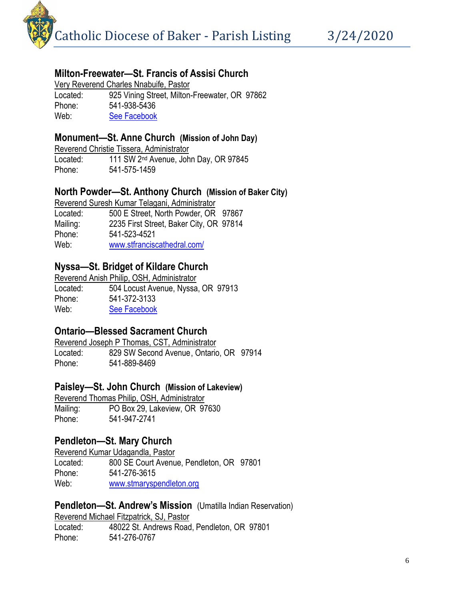

## **Milton-Freewater—St. Francis of Assisi Church**

Very Reverend Charles Nnabuife, Pastor Located: 925 Vining Street, Milton-Freewater, OR 97862 Phone: 541-938-5436 Web: [See Facebook](https://www.facebook.com/sfmfw/info?tab=overview)

### **Monument—St. Anne Church (Mission of John Day)**

Reverend Christie Tissera, Administrator Located: 111 SW 2<sup>nd</sup> Avenue, John Day, OR 97845 Phone: 541-575-1459

### **North Powder—St. Anthony Church (Mission of Baker City)**

Reverend Suresh Kumar Telagani, Administrator Located: 500 E Street, North Powder, OR 97867 Mailing: 2235 First Street, Baker City, OR 97814 Phone: 541-523-4521 Web: [www.stfranciscathedral.com/](http://www.stfranciscathedral.com/)

# **Nyssa—St. Bridget of Kildare Church**

Reverend Anish Philip, OSH, Administrator Located: 504 Locust Avenue, Nyssa, OR 97913 Phone: 541-372-3133 Web: [See Facebook](https://www.facebook.com/pages/Catholic-Church-St-Bridgets/111703605534028)

### **Ontario—Blessed Sacrament Church**

Reverend Joseph P Thomas, CST, Administrator Located: 829 SW Second Avenue, Ontario, OR 97914 Phone: 541-889-8469

#### **Paisley—St. John Church (Mission of Lakeview)**

Reverend Thomas Philip, OSH, Administrator Mailing: PO Box 29, Lakeview, OR 97630 Phone: 541-947-2741

# **Pendleton—St. Mary Church**

Reverend Kumar Udagandla, Pastor Located: 800 SE Court Avenue, Pendleton, OR 97801 Phone: 541-276-3615 Web: [www.stmaryspendleton.org](http://www.stmaryspendleton.org/)

#### **Pendleton—St. Andrew's Mission** (Umatilla Indian Reservation)

Reverend Michael Fitzpatrick, SJ, Pastor Located: 48022 St. Andrews Road, Pendleton, OR 97801 Phone: 541-276-0767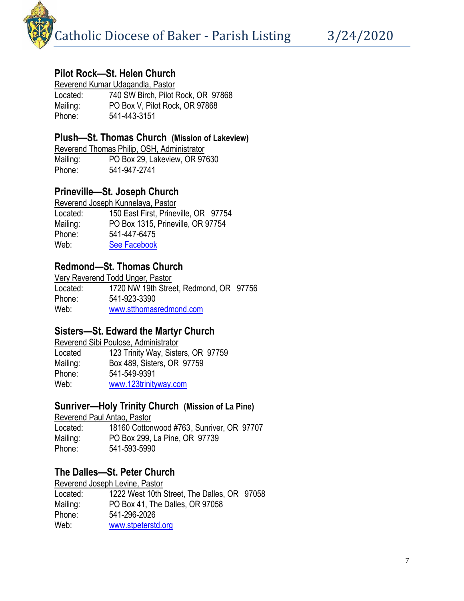Catholic Diocese of Baker - Parish Listing 3/24/2020

## **Pilot Rock—St. Helen Church**

Reverend Kumar Udagandla, Pastor Located: 740 SW Birch, Pilot Rock, OR 97868 Mailing: PO Box V, Pilot Rock, OR 97868 Phone: 541-443-3151

#### **Plush—St. Thomas Church (Mission of Lakeview)**

Reverend Thomas Philip, OSH, Administrator Mailing: PO Box 29, Lakeview, OR 97630 Phone: 541-947-2741

### **Prineville—St. Joseph Church**

Reverend Joseph Kunnelaya, Pastor Located: 150 East First, Prineville, OR 97754 Mailing: PO Box 1315, Prineville, OR 97754 Phone: 541-447-6475 Web: [See Facebook](https://www.facebook.com/pages/St-Josephs-Catholic-Church/100897143288837)

### **Redmond—St. Thomas Church**

Very Reverend Todd Unger, Pastor Located: 1720 NW 19th Street, Redmond, OR 97756 Phone: 541-923-3390 Web: [www.stthomasredmond.com](http://www.stthomasredmond.com/)

### **Sisters—St. Edward the Martyr Church**

Reverend Sibi Poulose, Administrator

Located 123 Trinity Way, Sisters, OR 97759 Mailing: Box 489, Sisters, OR 97759 Phone: 541-549-9391 Web: [www.123trinityway.com](http://www.123trinityway.com/)

### **Sunriver—Holy Trinity Church (Mission of La Pine)**

Reverend Paul Antao, Pastor

Located: 18160 Cottonwood #763, Sunriver, OR 97707 Mailing: PO Box 299, La Pine, OR 97739 Phone: 541-593-5990

### **The Dalles—St. Peter Church**

Reverend Joseph Levine, Pastor Located: 1222 West 10th Street, The Dalles, OR 97058 Mailing: PO Box 41, The Dalles, OR 97058 Phone: 541-296-2026 Web: www.stpeterstd.org